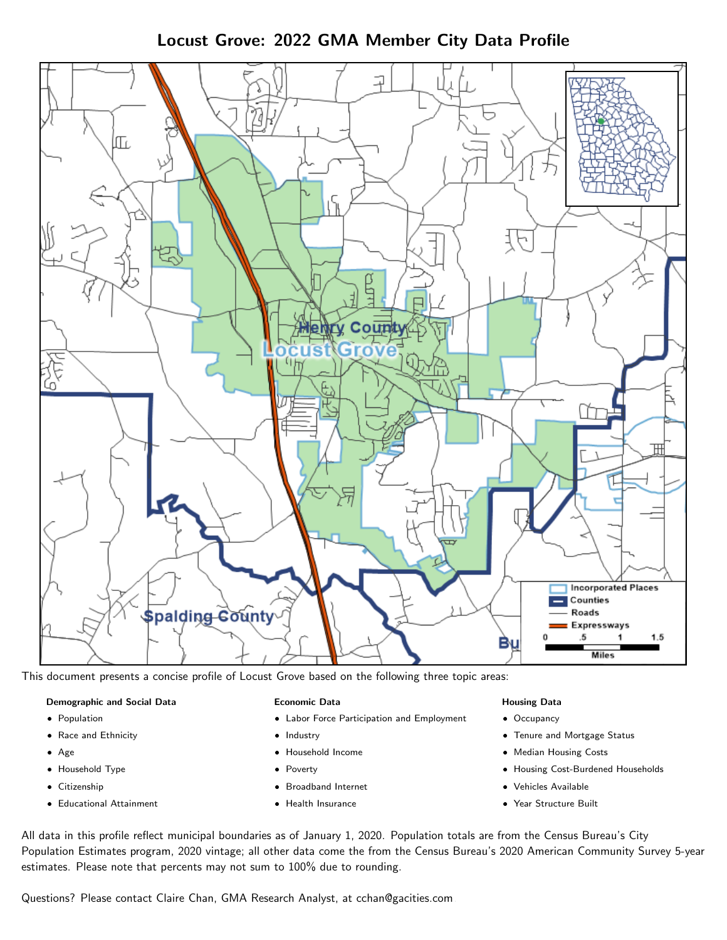Locust Grove: 2022 GMA Member City Data Profile



This document presents a concise profile of Locust Grove based on the following three topic areas:

#### Demographic and Social Data

- **•** Population
- Race and Ethnicity
- Age
- Household Type
- **Citizenship**
- Educational Attainment

#### Economic Data

- Labor Force Participation and Employment
- Industry
- Household Income
- Poverty
- Broadband Internet
- Health Insurance

#### Housing Data

- Occupancy
- Tenure and Mortgage Status
- Median Housing Costs
- Housing Cost-Burdened Households
- Vehicles Available
- Year Structure Built

All data in this profile reflect municipal boundaries as of January 1, 2020. Population totals are from the Census Bureau's City Population Estimates program, 2020 vintage; all other data come the from the Census Bureau's 2020 American Community Survey 5-year estimates. Please note that percents may not sum to 100% due to rounding.

Questions? Please contact Claire Chan, GMA Research Analyst, at [cchan@gacities.com.](mailto:cchan@gacities.com)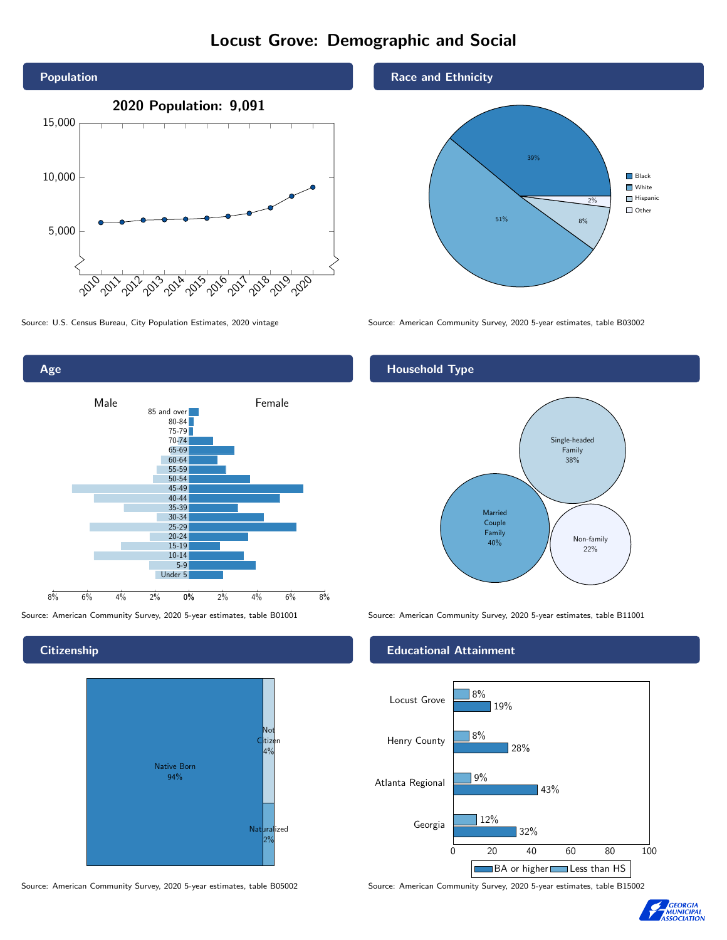# Locust Grove: Demographic and Social





**Citizenship** 



Source: American Community Survey, 2020 5-year estimates, table B05002 Source: American Community Survey, 2020 5-year estimates, table B15002

Race and Ethnicity



Source: U.S. Census Bureau, City Population Estimates, 2020 vintage Source: American Community Survey, 2020 5-year estimates, table B03002

## Household Type



Source: American Community Survey, 2020 5-year estimates, table B01001 Source: American Community Survey, 2020 5-year estimates, table B11001

#### Educational Attainment



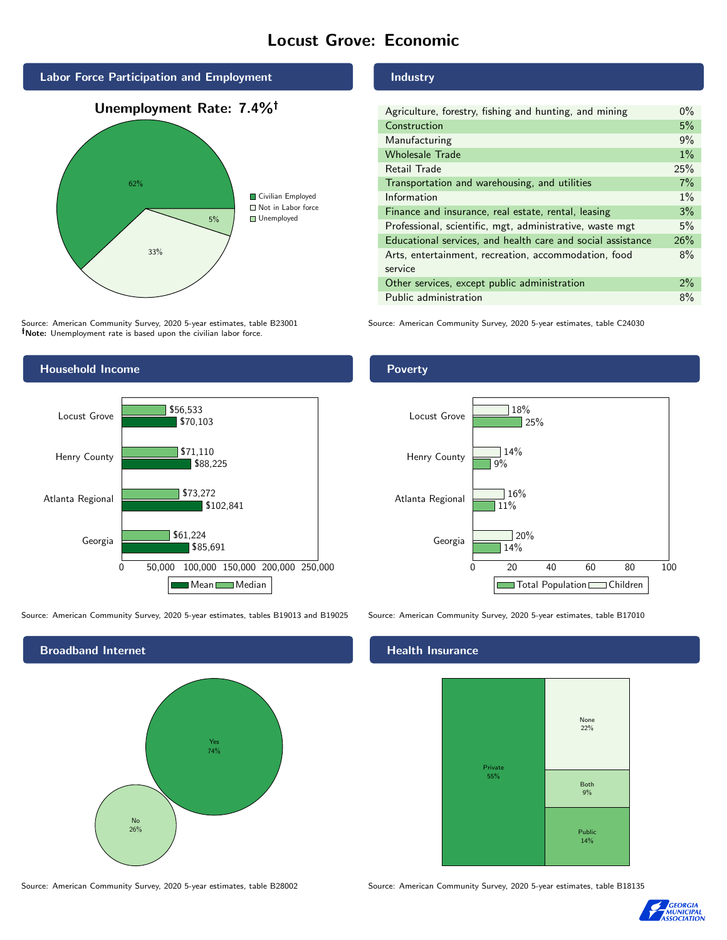## Locust Grove: Economic



Source: American Community Survey, 2020 5-year estimates, table B23001 Note: Unemployment rate is based upon the civilian labor force.



Source: American Community Survey, 2020 5-year estimates, tables B19013 and B19025 Source: American Community Survey, 2020 5-year estimates, table B17010



Source: American Community Survey, 2020 5-year estimates, table B28002 Source: American Community Survey, 2020 5-year estimates, table B18135

#### Industry

| Agriculture, forestry, fishing and hunting, and mining      | $0\%$ |
|-------------------------------------------------------------|-------|
| Construction                                                | 5%    |
| Manufacturing                                               | 9%    |
| <b>Wholesale Trade</b>                                      | $1\%$ |
| <b>Retail Trade</b>                                         | 25%   |
| Transportation and warehousing, and utilities               | 7%    |
| Information                                                 | $1\%$ |
| Finance and insurance, real estate, rental, leasing         | 3%    |
| Professional, scientific, mgt, administrative, waste mgt    | 5%    |
| Educational services, and health care and social assistance | 26%   |
| Arts, entertainment, recreation, accommodation, food        | 8%    |
| service                                                     |       |
| Other services, except public administration                | $2\%$ |
| Public administration                                       | 8%    |

Source: American Community Survey, 2020 5-year estimates, table C24030

#### Poverty



#### Health Insurance